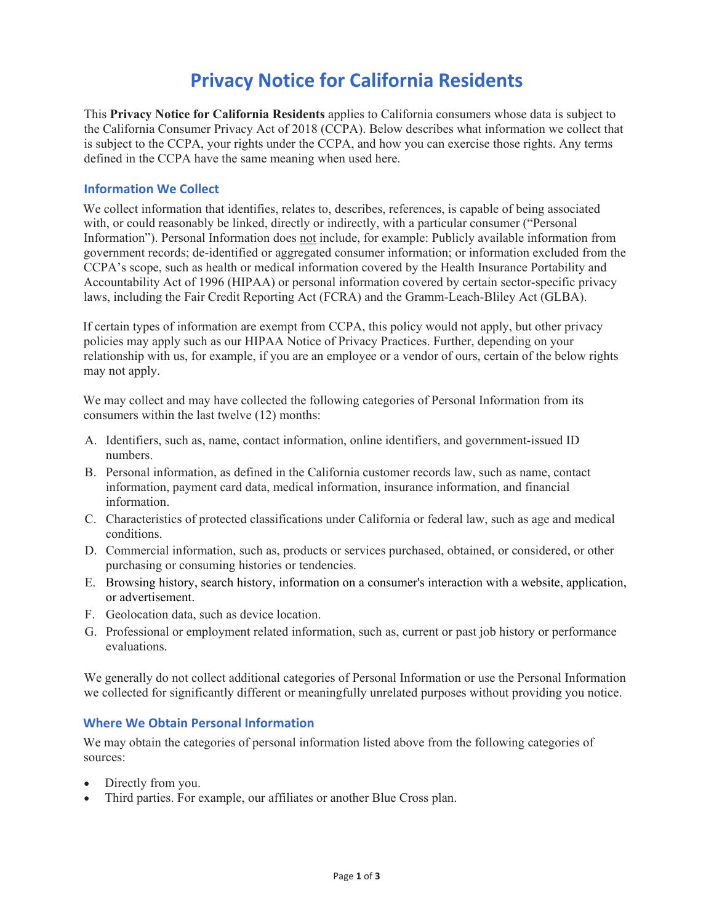# **Privacy Notice for California Residents**

This **Privacy Notice for California Residents** applies to California consumers whose data is subject to the California Consumer Privacy Act of 2018 (CCPA). Below describes what information we collect that is subject to the CCPA, your rights under the CCPA, and how you can exercise those rights. Any terms defined in the CCPA have the same meaning when used here.

## **Information We Collect**

We collect information that identifies, relates to, describes, references, is capable of being associated with, or could reasonably be linked, directly or indirectly, with a particular consumer ("Personal Information"). Personal Information does not include, for example: Publicly available information from government records; de-identified or aggregated consumer information; or information excluded from the CCPA's scope, such as health or medical information covered by the Health Insurance Portability and Accountability Act of 1996 (HIPAA) or personal information covered by certain sector-specific privacy laws, including the Fair Credit Reporting Act (FCRA) and the Gramm-Leach-Bliley Act (GLBA).

If certain types of information are exempt from CCPA, this policy would not apply, but other privacy policies may apply such as our HIPAA Notice of Privacy Practices. Further, depending on your relationship with us, for example, if you are an employee or a vendor of ours, certain of the below rights may not apply.

We may collect and may have collected the following categories of Personal Information from its consumers within the last twelve (12) months:

- A. Identifiers, such as, name, contact information, online identifiers, and government-issued ID numbers.
- B. Personal information, as defined in the California customer records law, such as name, contact information, payment card data, medical information, insurance information, and financial information.
- C. Characteristics of protected classifications under California or federal law, such as age and medical conditions.
- D. Commercial information, such as, products or services purchased, obtained, or considered, or other purchasing or consuming histories or tendencies.
- E. Browsing history, search history, information on a consumer's interaction with a website, application, or advertisement.
- F. Geolocation data, such as device location.
- G. Professional or employment related information, such as, current or past job history or performance evaluations.

We generally do not collect additional categories of Personal Information or use the Personal Information we collected for significantly different or meaningfully unrelated purposes without providing you notice.

#### **Where We Obtain Personal Information**

We may obtain the categories of personal information listed above from the following categories of sources:

- Directly from you.
- Third parties. For example, our affiliates or another Blue Cross plan.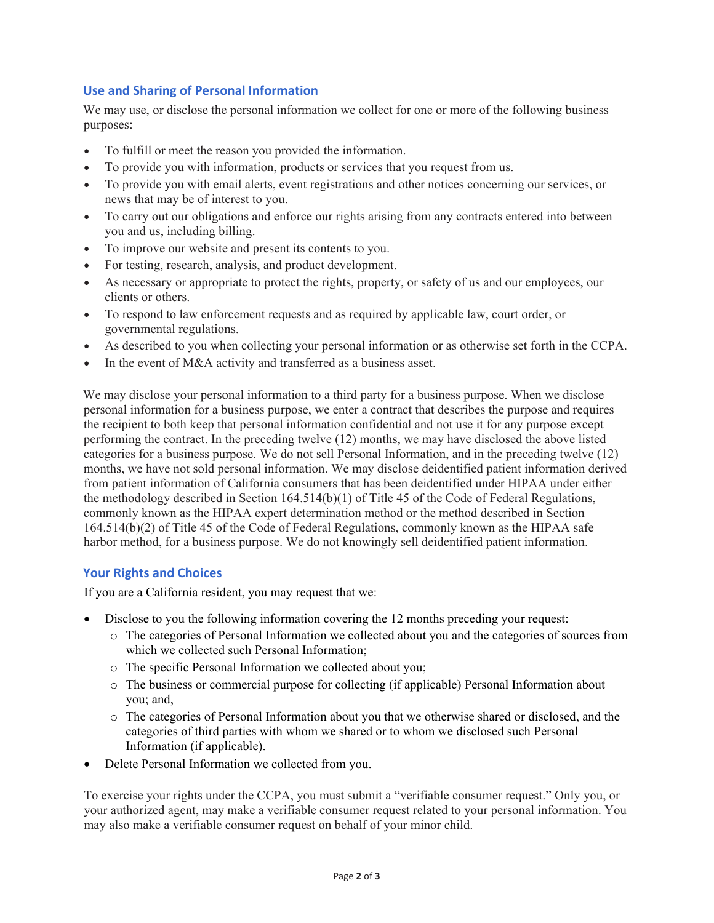# **Use and Sharing of Personal Information**

We may use, or disclose the personal information we collect for one or more of the following business purposes:

- To fulfill or meet the reason you provided the information.
- To provide you with information, products or services that you request from us.
- To provide you with email alerts, event registrations and other notices concerning our services, or news that may be of interest to you.
- To carry out our obligations and enforce our rights arising from any contracts entered into between you and us, including billing.
- To improve our website and present its contents to you.
- For testing, research, analysis, and product development.
- As necessary or appropriate to protect the rights, property, or safety of us and our employees, our clients or others.
- To respond to law enforcement requests and as required by applicable law, court order, or governmental regulations.
- As described to you when collecting your personal information or as otherwise set forth in the CCPA.
- In the event of M&A activity and transferred as a business asset.

We may disclose your personal information to a third party for a business purpose. When we disclose personal information for a business purpose, we enter a contract that describes the purpose and requires the recipient to both keep that personal information confidential and not use it for any purpose except performing the contract. In the preceding twelve (12) months, we may have disclosed the above listed categories for a business purpose. We do not sell Personal Information, and in the preceding twelve (12) months, we have not sold personal information. We may disclose deidentified patient information derived from patient information of California consumers that has been deidentified under HIPAA under either the methodology described in Section 164.514(b)(1) of Title 45 of the Code of Federal Regulations, commonly known as the HIPAA expert determination method or the method described in Section 164.514(b)(2) of Title 45 of the Code of Federal Regulations, commonly known as the HIPAA safe harbor method, for a business purpose. We do not knowingly sell deidentified patient information.

# **Your Rights and Choices**

If you are a California resident, you may request that we:

- Disclose to you the following information covering the 12 months preceding your request:
	- o The categories of Personal Information we collected about you and the categories of sources from which we collected such Personal Information;
	- o The specific Personal Information we collected about you;
	- o The business or commercial purpose for collecting (if applicable) Personal Information about you; and,
	- o The categories of Personal Information about you that we otherwise shared or disclosed, and the categories of third parties with whom we shared or to whom we disclosed such Personal Information (if applicable).
- Delete Personal Information we collected from you.

To exercise your rights under the CCPA, you must submit a "verifiable consumer request." Only you, or your authorized agent, may make a verifiable consumer request related to your personal information. You may also make a verifiable consumer request on behalf of your minor child.